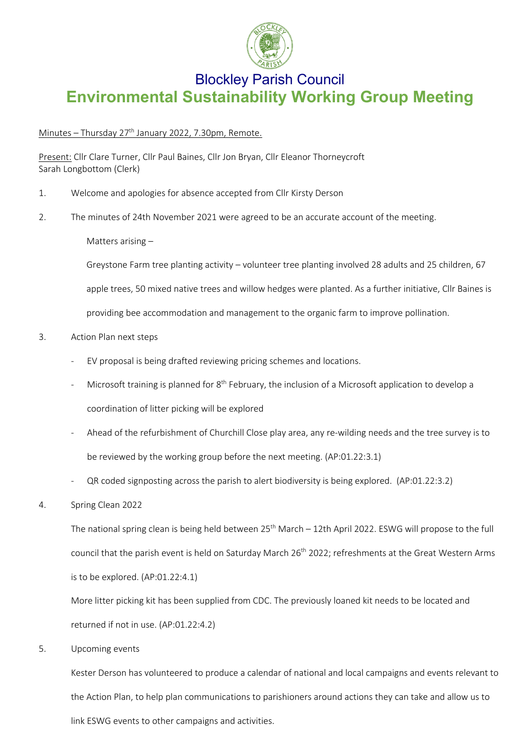

## Blockley Parish Council **Environmental Sustainability Working Group Meeting**

## Minutes – Thursday 27<sup>th</sup> January 2022, 7.30pm, Remote.

Present: Cllr Clare Turner, Cllr Paul Baines, Cllr Jon Bryan, Cllr Eleanor Thorneycroft Sarah Longbottom (Clerk)

- 1. Welcome and apologies for absence accepted from Cllr Kirsty Derson
- 2. The minutes of 24th November 2021 were agreed to be an accurate account of the meeting.

Matters arising –

Greystone Farm tree planting activity – volunteer tree planting involved 28 adults and 25 children, 67

apple trees, 50 mixed native trees and willow hedges were planted. As a further initiative, Cllr Baines is

providing bee accommodation and management to the organic farm to improve pollination.

- 3. Action Plan next steps
	- EV proposal is being drafted reviewing pricing schemes and locations.
	- Microsoft training is planned for  $8<sup>th</sup>$  February, the inclusion of a Microsoft application to develop a coordination of litter picking will be explored
	- Ahead of the refurbishment of Churchill Close play area, any re-wilding needs and the tree survey is to be reviewed by the working group before the next meeting. (AP:01.22:3.1)
	- QR coded signposting across the parish to alert biodiversity is being explored. (AP:01.22:3.2)
- 4. Spring Clean 2022

The national spring clean is being held between  $25<sup>th</sup>$  March – 12th April 2022. ESWG will propose to the full council that the parish event is held on Saturday March 26<sup>th</sup> 2022; refreshments at the Great Western Arms is to be explored. (AP:01.22:4.1)

More litter picking kit has been supplied from CDC. The previously loaned kit needs to be located and returned if not in use. (AP:01.22:4.2)

5. Upcoming events

Kester Derson has volunteered to produce a calendar of national and local campaigns and events relevant to the Action Plan, to help plan communications to parishioners around actions they can take and allow us to link ESWG events to other campaigns and activities.